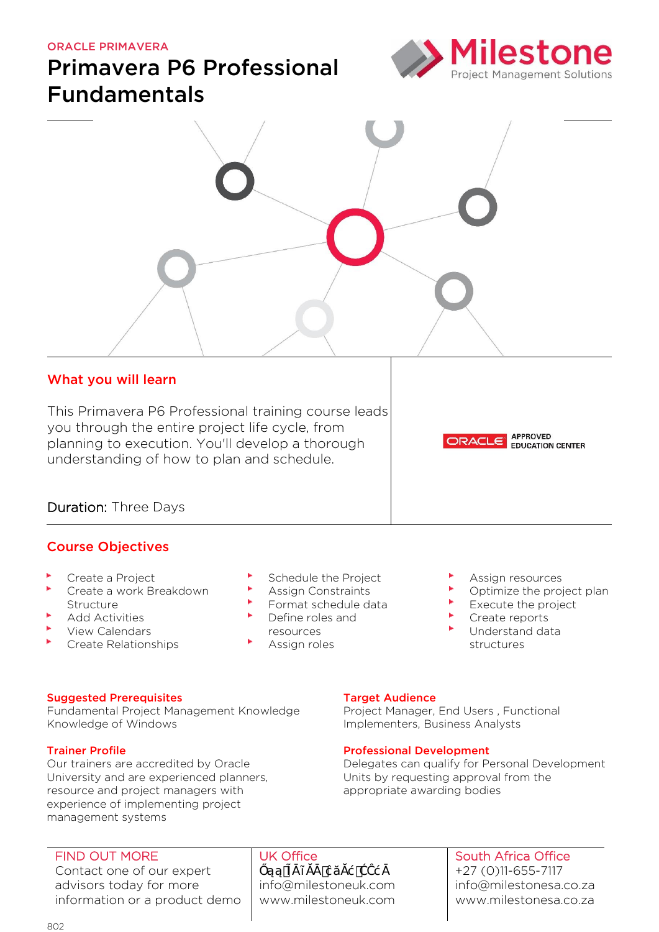#### ORACLE PRIMAVERA

# Primavera P6 Professional Fundamentals





### What you will learn

This Primavera P6 Professional training course leads you through the entire project life cycle, from planning to execution. You'll develop a thorough understanding of how to plan and schedule.



### Course Objectives

- Create a Project
- Create a work Breakdown Structure
- Add Activities
- View Calendars
- Create Relationships
- Schedule the Project
- Assign Constraints
- Format schedule data Define roles and
	- resources
- Assign roles

Assign resources

**ORACLE APPROVED** 

Optimize the project plan

**EDUCATION CENTER** 

- Execute the project
- Create reports
- Understand data structures

#### Suggested Prerequisites

Fundamental Project Management Knowledge Knowledge of Windows

#### Trainer Profile

Our trainers are accredited by Oracle University and are experienced planners, resource and project managers with experience of implementing project management systems

#### FIND OUT MORE

Contact one of our expert advisors today for more information or a product demo

## UK Office

Őą, miestro de la provincia de la provincia de la provincia de la provincia de la provincia de la provincia de<br>En 1930, estas de la provincia de la provincia de la provincia de la provincia de la provincia de la provincia info@milestoneuk.com [www.milestoneuk.com](http://www.milestoneuk.com/)

## **Target Audience**

Project Manager, End Users , Functional Implementers, Business Analysts

#### Professional Development

Delegates can qualify for Personal Development Units by requesting approval from the appropriate awarding bodies

## South Africa Office

+27 (0)11-655-7117 info@milestonesa.co.za www.milestonesa.co.za